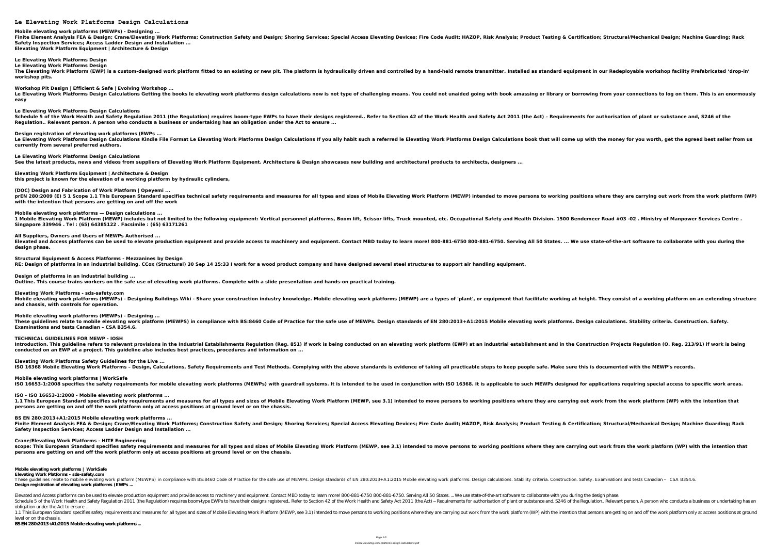**Le Elevating Work Platforms Design Calculations**

**Mobile elevating work platforms (MEWPs) - Designing ...** Finite Element Analysis FEA & Design; Crane/Elevating Work Platforms; Construction Safety and Design; Shoring Services; Special Access Elevating & Certification; Structural/Mechanical Design; Machine Guarding; Rack **Safety Inspection Services; Access Ladder Design and Installation ... Elevating Work Platform Equipment | Architecture & Design**

**Le Elevating Work Platforms Design Le Elevating Work Platforms Design** The Elevating Work Platform (EWP) is a custom-designed work platform fitted to an existing or new pit. The platform is hydraulically driven and controlled by a hand-held remote transmitter. Installed as standard equipment **workshop pits.**

**Workshop Pit Design | Efficient & Safe | Evolving Workshop ...** Le Elevating Work Platforms Design Calculations Getting the books le elevating work platforms design calculations now is not type of challenging means. You could not unaided going with book amassing or library or borrowing **easy**

**(DOC) Design and Fabrication of Work Platform | Opeyemi ...** prEN 280:2009 (E) 5 1 Scope 1.1 This European Standard specifies technical safety requirements and measures for all types and sizes of Mobile Elevating Work Platform (MEWP) intended to move persons to working positions whe **with the intention that persons are getting on and off the work Mobile elevating work platforms — Design calculations ...** 1 Mobile Elevating Work Platform (MEWP) includes but not limited to the following equipment: Vertical personnel platforms, Boom lift, Scissor lifts, Truck mounted, etc. Occupational Safety and Health Division. 1500 Bendeme **Singapore 339946 . Tel : (65) 64385122 . Facsimile : (65) 63171261 All Suppliers, Owners and Users of MEWPs Authorised ...** Elevated and Access platforms can be used to elevate production equipment and provide access to machinery and equipment. Contact MBD today to learn more! 800-881-6750. Serving All 50 States. ... We use state-of-the-art sof

**Le Elevating Work Platforms Design Calculations** Schedule 5 of the Work Health and Safety Regulation 2011 (the Regulation) requires boom-type EWPs to have their designs registered.. Refer to Section 42 of the Work Health and Safety Act 2011 (the Act) - Requirements for a **Regulation.. Relevant person. A person who conducts a business or undertaking has an obligation under the Act to ensure ...**

**Design registration of elevating work platforms (EWPs ...** Le Elevating Work Platforms Design Calculations Kindle File Format Le Elevating Work Platforms Design Calculations If you ally habit such a referred le Elevating Work Platforms Design Calculations book that will come up wi **currently from several preferred authors.**

**Le Elevating Work Platforms Design Calculations See the latest products, news and videos from suppliers of Elevating Work Platform Equipment. Architecture & Design showcases new building and architectural products to architects, designers ...**

**Elevating Work Platform Equipment | Architecture & Design this project is known for the elevation of a working platform by hydraulic cylinders,**

These guidelines relate to mobile elevating work platform (MEWPS) in compliance with BS:8460 Code of Practice for the safe use of MEWPs. Design standards of EN 280:2013+A1:2015 Mobile elevating work platforms. Design calcu **Examinations and tests Canadian – CSA B354.6.**

**design phase.**

**Structural Equipment & Access Platforms - Mezzanines by Design RE: Design of platforms in an industrial building. CCox (Structural) 30 Sep 14 15:33 I work for a wood product company and have designed several steel structures to support air handling equipment.**

These guidelines relate to mobile elevating work platform (MEWPS) in compliance with BS:8460 Code of Practice for the safe use of MEWPs. Design standards of EN 280:2013+ A1:2015 Mobile elevating work platforms. Stability c **Design registration of elevating work platforms (EWPs ...**

**Design of platforms in an industrial building ... Outline. This course trains workers on the safe use of elevating work platforms. Complete with a slide presentation and hands-on practical training.**

Elevated and Access platforms can be used to elevate production equipment and provide access to machinery and equipment. Contact MBD today to learn more! 800-881-6750 800-881-6750. Serving All 50 States. ... We use state-o Schedule 5 of the Work Health and Safety Regulation 2011 (the Regulation) requires boom-type EWPs to have their designs registered.. Refer to Section 42 of the Regulation.. Relevant person. A person who conducts a business obligation under the Act to ensure ...

**Elevating Work Platforms - sds-safety.com** Mobile elevating work platforms (MEWPs) - Designing Buildings Wiki - Share your construction industry knowledge. Mobile elevating work platforms (MEWP) are a types of 'plant', or equipment that facilitate working at height **and chassis, with controls for operation. Mobile elevating work platforms (MEWPs) - Designing ...**

1.1 This European Standard specifies safety requirements and measures for all types and sizes of Mobile Elevating Work Platform (MP) with the intention that persons are getting on and off the work platform only at access p level or on the chassis.

**TECHNICAL GUIDELINES FOR MEWP - IOSH** Introduction. This quideline refers to relevant provisions in the Industrial Establishments Regulation (Reg. 851) if work is being conducted on an elevating work platform (EWP) at an industrial establishment and in the Con **conducted on an EWP at a project. This guideline also includes best practices, procedures and information on ...**

**Elevating Work Platforms Safety Guidelines for the Live ...**

ISO 16368 Mobile Elevating Work Platforms - Design, Calculations, Safety Requirements and Test Methods. Complying with the above standards is evidence of taking all practicable steps to keep people safe. Make sure this is **Mobile elevating work platforms | WorkSafe** ISO 16653-1:2008 specifies the safety requirements for mobile elevating work platforms (MEWPs) with guardrail systems. It is intended to be used in conjunction with ISO 16368. It is applicable to such MEWPs designed for ap

**ISO - ISO 16653-1:2008 - Mobile elevating work platforms ...** 1.1 This European Standard specifies safety requirements and measures for all types and sizes of Mobile Elevating Work Platform (MEWP, see 3.1) intended to move persons to working positions where they are carrying out work **persons are getting on and off the work platform only at access positions at ground level or on the chassis.**

**BS EN 280:2013+A1:2015 Mobile elevating work platforms ...** Finite Element Analysis FEA & Design; Crane/Elevating Work Platforms; Construction Safety and Design; Shoring Services; Special Access Elevating & Certification; Structural/Mechanical Design; Machine Guarding; Rack **Safety Inspection Services; Access Ladder Design and Installation ...**

**Crane/Elevating Work Platforms - HITE Engineering** scope: This European Standard specifies safety requirements and measures for all types and sizes of Mobile Elevating Work Platform (MEWP, see 3.1) intended to move persons to working positions where they are carrying out w **persons are getting on and off the work platform only at access positions at ground level or on the chassis.**

**Mobile elevating work platforms | WorkSafe**

**Elevating Work Platforms - sds-safety.com**

**BS EN 280:2013+A1:2015 Mobile elevating work platforms ...**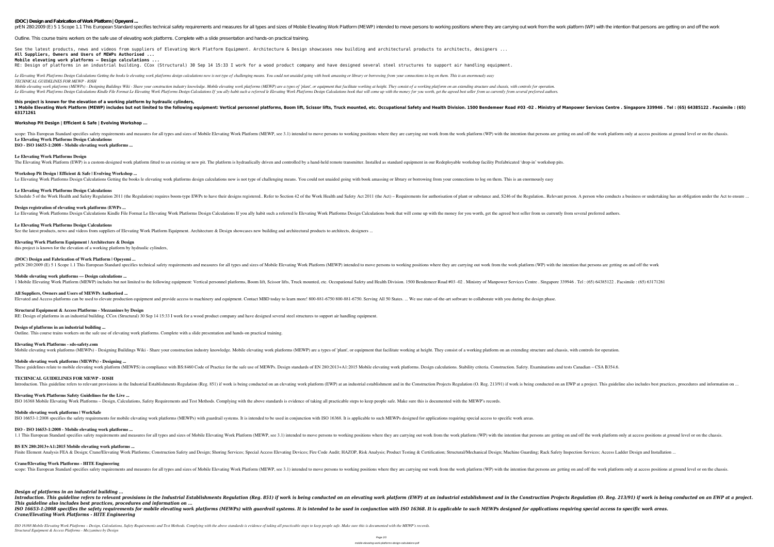**(DOC) Design and Fabrication of Work Platform | Opeyemi ...**

prEN 280:2009 (E) 5 1 Scope 1.1 This European Standard specifies technical safety requirements and measures for all types and sizes of Mobile Elevating Work Platform (MEWP) intended to move persons to working positions whe

See the latest products, news and videos from suppliers of Elevating Work Platform Equipment. Architecture & Design showcases new building and architectural products to architects, designers ... **All Suppliers, Owners and Users of MEWPs Authorised ... Mobile elevating work platforms — Design calculations ...**

Outline. This course trains workers on the safe use of elevating work platforms. Complete with a slide presentation and hands-on practical training.

Le Elevating Work Platforms Design Calculations Getting the books le elevating work platforms design calculations now is not type of challenging means. You could not unaided going with book amassing or library or borrowing *TECHNICAL GUIDELINES FOR MEWP - IOSH*

Mobile elevating work platforms (MEWPs) - Designing Buildings Wiki - Share your construction industry knowledge. Mobile elevating work platforms (MEWP) are a types of 'plant', or equipment that facilitate working at height Le Elevating Work Platforms Design Calculations Kindle File Format Le Elevating Work Platforms Design Calculations If you ally habit such a referred le Elevating Work Platforms Design Calculations book that will come up wi

RE: Design of platforms in an industrial building. CCox (Structural) 30 Sep 14 15:33 I work for a wood product company and have designed several steel structures to support air handling equipment.

1 Mobile Elevating Work Platform (MEWP) includes but not limited to the following equipment: Vertical personnel platforms, Boom lift, Scissor lifts, Truck mounted, etc. Occupational Safety and Health Division. 1500 Bendeme **63171261**

scope: This European Standard specifies safety requirements and measures for all types and sizes of Mobile Elevating Work Platform (MEWP, see 3.1) intended to move persons are getting on and off the work platform only at a **Le Elevating Work Platforms Design Calculations**

## **this project is known for the elevation of a working platform by hydraulic cylinders,**

## **Workshop Pit Design | Efficient & Safe | Evolving Workshop ...**

**ISO - ISO 16653-1:2008 - Mobile elevating work platforms ...**

## **Le Elevating Work Platforms Design**

The Elevating Work Platform (EWP) is a custom-designed work platform fitted to an existing or new pit. The platform is hydraulically driven and controlled by a hand-held remote transmitter. Installed as standard equipment

## **Workshop Pit Design | Efficient & Safe | Evolving Workshop ...**

Le Elevating Work Platforms Design Calculations Getting the books le elevating work platforms design calculations now is not type of challenging means. You could not unaided going with book amassing or library or borrowing

## **Le Elevating Work Platforms Design Calculations**

Schedule 5 of the Work Health and Safety Regulation 2011 (the Regulation) requires boom-type EWPs to have their designs registered.. Refer to Section 42 of the Regulation.. Relevant person. A person who conducts a business

## **Design registration of elevating work platforms (EWPs ...**

Le Elevating Work Platforms Design Calculations Kindle File Format Le Elevating Work Platforms Design Calculations If you ally habit such a referred le Elevating Work Platforms Design Calculations book that will come up wi

**BS EN 280:2013+A1:2015 Mobile elevating work platforms ...** Finite Element Analysis FEA & Design; Crane/Elevating Work Platforms; Construction Safety and Design; Shoring Services; Special Access Elevating Devices; Fire Code Audit; HAZOP, Risk Analysis; Product Testing & Certificati

## **Le Elevating Work Platforms Design Calculations**

See the latest products, news and videos from suppliers of Elevating Work Platform Equipment. Architecture & Design showcases new building and architectural products to architects, designers ...

## **Elevating Work Platform Equipment | Architecture & Design**

this project is known for the elevation of a working platform by hydraulic cylinders,

## **(DOC) Design and Fabrication of Work Platform | Opeyemi ...**

pre 280:2009 (E) 5 1 Scope 1.1 This European Standard specifies technical safety requirements and measures for all types and sizes of Mobile Elevating Work Platform (MEWP) intended to move persons to working positions wher **Mobile elevating work platforms — Design calculations ...** 1 Mobile Elevating Work Platform (MEWP) includes but not limited to the following equipment: Vertical personnel platforms, Boom lift, Scissor lifts, Truck mounted, etc. Occupational Safety and Health Division. 1500 Bendeme **All Suppliers, Owners and Users of MEWPs Authorised ...** Elevated and Access platforms can be used to elevate production equipment and provide access to machinery and equipment. Contact MBD today to learn more! 800-881-6750 800-881-6750. Serving All 50 States. ... We use state-o

Introduction. This guideline refers to relevant provisions in the Industrial Establishments Regulation (Reg. 851) if work is being conducted on an elevating work platform (EWP) at an industrial establishment and in the Con *This guideline also includes best practices, procedures and information on ...* ISO 16653-1:2008 specifies the safety requirements for mobile elevating work platforms (MEWPs) with guardrail systems. It is intended to be used in conjunction with ISO 16368. It is applicable to such MEWPs designed for ap *Crane/Elevating Work Platforms - HITE Engineering*

## **Structural Equipment & Access Platforms - Mezzanines by Design**

RE: Design of platforms in an industrial building. CCox (Structural) 30 Sep 14 15:33 I work for a wood product company and have designed several steel structures to support air handling equipment.

## **Design of platforms in an industrial building ...**

Outline. This course trains workers on the safe use of elevating work platforms. Complete with a slide presentation and hands-on practical training.

## **Elevating Work Platforms - sds-safety.com**

Mobile elevating work platforms (MEWPs) - Designing Buildings Wiki - Share your construction industry knowledge. Mobile elevating work platforms (MEWP) are a types of 'plant', or equipment that facilitate working at height **Mobile elevating work platforms (MEWPs) - Designing ...** These guidelines relate to mobile elevating work platform (MEWPS) in compliance with BS:8460 Code of Practice for the safe use of MEWPs. Design standards of EN 280:2013+A1:2015 Mobile elevating work platforms. Design calcu **TECHNICAL GUIDELINES FOR MEWP - IOSH** Introduction. This guideline refers to relevant provisions in the Industrial Establishments Regulation (Reg. 851) if work is being conducted on an elevating work platform (EWP) at an industrial establishment and in the Con **Elevating Work Platforms Safety Guidelines for the Live ...** ISO 16368 Mobile Elevating Work Platforms – Design, Calculations, Safety Requirements and Test Methods. Complying with the above standards is evidence of taking all practicable steps to keep people safe. Make sure this is

## **Mobile elevating work platforms | WorkSafe**

ISO 16653-1:2008 specifies the safety requirements for mobile elevating work platforms (MEWPs) with guardrail systems. It is intended to be used in conjunction with ISO 16368. It is applicable to such MEWPs designed for ap

## **ISO - ISO 16653-1:2008 - Mobile elevating work platforms ...**

1.1 This European Standard specifies safety requirements and measures for all types and sizes of Mobile Elevating Work Platform (MEWP, see 3.1) intended to move persons are getting on and off the work platform only at acce **Crane/Elevating Work Platforms - HITE Engineering** scope: This European Standard specifies safety requirements and measures for all types and sizes of Mobile Elevating Work Platform (MEWP, see 3.1) intended to move persons are getting on and off the work platform only at a

# *Design of platforms in an industrial building ...*